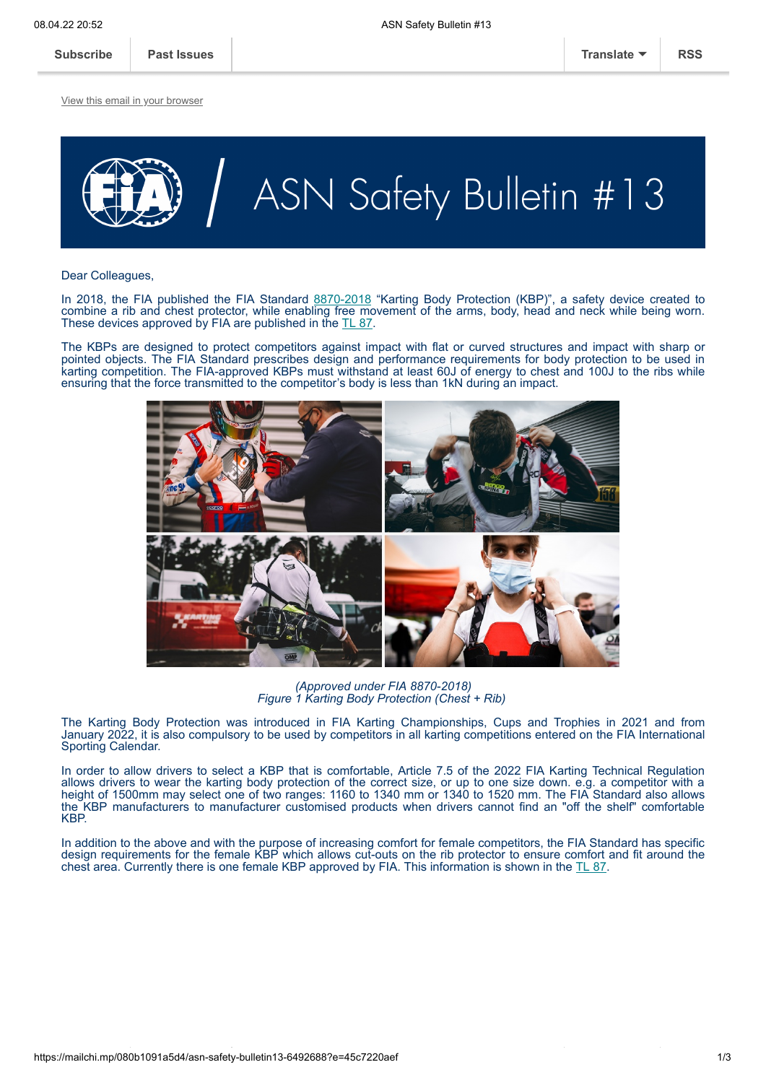[View this email in your browser](https://mailchi.mp/080b1091a5d4/asn-safety-bulletin13-6492688?e=45c7220aef)



Dear Colleagues,

In 2018, the FIA published the FIA Standard [8870-2018](https://www.fia.com/sites/default/files/8870-2018_karting_body_protection.pdf) "Karting Body Protection (KBP)", a safety device created to combine a rib and chest protector, while enabling free movement of the arms, body, head and neck while being worn. These devices approved by FIA are published in the [TL 87.](https://www.fia.com/sites/default/files/l87_approved_kbp_-_8870-2018_7.pdf)

The KBPs are designed to protect competitors against impact with flat or curved structures and impact with sharp or pointed objects. The FIA Standard prescribes design and performance requirements for body protection to be used in karting competition. The FIA-approved KBPs must withstand at least 60J of energy to chest and 100J to the ribs while ensuring that the force transmitted to the competitor's body is less than 1kN during an impact.



*(Approved under FIA 8870-2018) Figure 1 Karting Body Protection (Chest + Rib)*

The Karting Body Protection was introduced in FIA Karting Championships, Cups and Trophies in 2021 and from January 2022, it is also compulsory to be used by competitors in all karting competitions entered on the FIA International Sporting Calendar.

In order to allow drivers to select a KBP that is comfortable, Article 7.5 of the 2022 FIA Karting Technical Regulation allows drivers to wear the karting body protection of the correct size, or up to one size down. e.g. a competitor with a height of 1500mm may select one of two ranges: 1160 to 1340 mm or 1340 to 1520 mm. The FIA Standard also allows the KBP manufacturers to manufacturer customised products when drivers cannot find an "off the shelf" comfortable **KRP** 

In addition to the above and with the purpose of increasing comfort for female competitors, the FIA Standard has specific design requirements for the female KBP which allows cut-outs on the rib protector to ensure comfort and fit around the chest area. Currently there is one female KBP approved by FIA. This information is shown in the [TL 87.](https://www.fia.com/sites/default/files/l87_approved_kbp_-_8870-2018_7.pdf)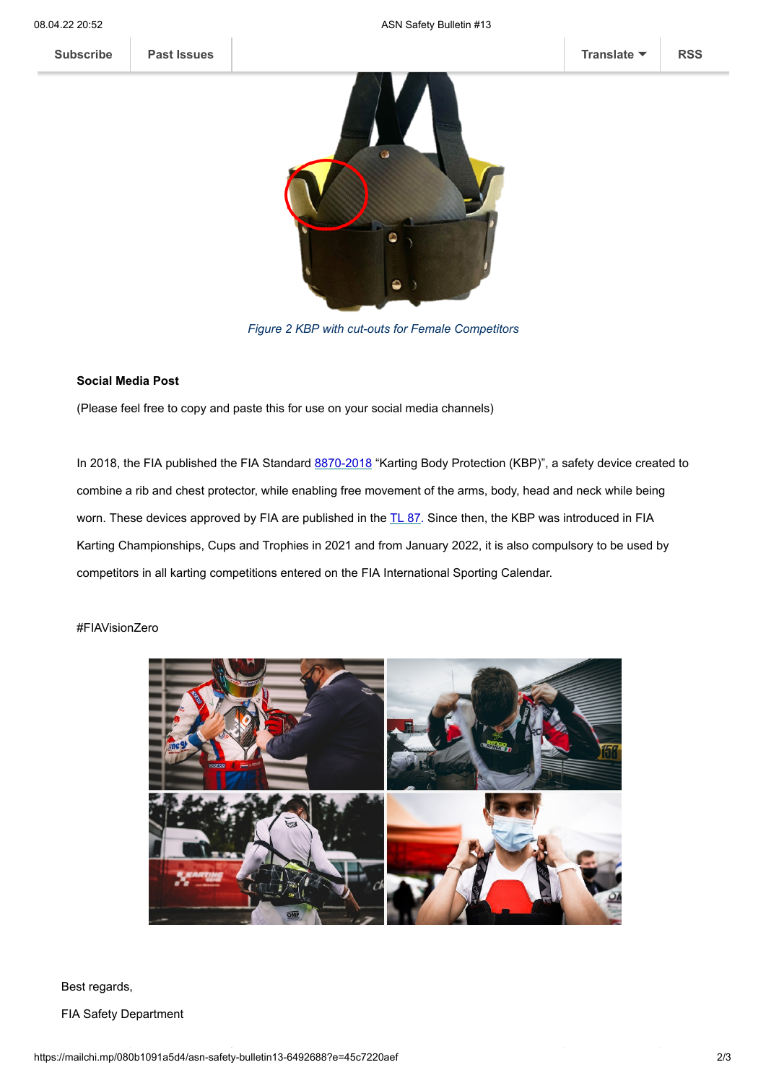**[Subscribe](http://eepurl.com/hrkg4f) [Past Issues](https://us16.campaign-archive.com/home/?u=d2e7b24d2c1e6cecc65ebe300&id=0aa4c3400a) [Translate](javascript:;) [RSS](https://us16.campaign-archive.com/feed?u=d2e7b24d2c1e6cecc65ebe300&id=0aa4c3400a)**



*[Figure 2 KBP with cut-outs for Female Competitor](https://mcusercontent.com/d2e7b24d2c1e6cecc65ebe300/images/d39afb3c-4c1f-97d4-c224-b15e8400a20f.png)s*

## **Social Media Post**

(Please feel free to copy and paste this for use on your social media channels)

In 2018, the FIA published the FIA Standard [8870-2018](https://www.fia.com/sites/default/files/8870-2018_karting_body_protection.pdf) "Karting Body Protection (KBP)", a safety device created to combine a rib and chest protector, while enabling free movement of the arms, body, head and neck while being worn. These devices approved by FIA are published in the [TL 87](https://www.fia.com/sites/default/files/l87_approved_kbp_-_8870-2018_7.pdf). Since then, the KBP was introduced in FIA Karting Championships, Cups and Trophies in 2021 and from January 2022, it is also compulsory to be used by competitors in all karting competitions entered on the FIA International Sporting Calendar.

## #FIAVisionZero



Best regards,

FIA Safety Department